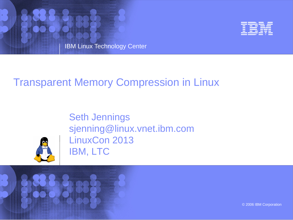



### Transparent Memory Compression in Linux

Seth Jennings sjenning@linux.vnet.ibm.com LinuxCon 2013 IBM, LTC



© 2006 IBM Corporation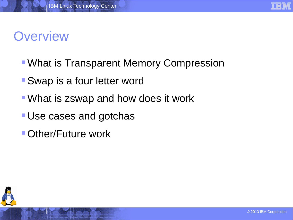### **Overview**

- **What is Transparent Memory Compression**
- Swap is a four letter word
- What is zswap and how does it work
- **Use cases and gotchas**
- **Other/Future work**

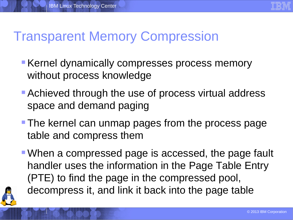

## Transparent Memory Compression

- **Kernel dynamically compresses process memory** without process knowledge
- **Achieved through the use of process virtual address** space and demand paging
- **The kernel can unmap pages from the process page** table and compress them
- When a compressed page is accessed, the page fault handler uses the information in the Page Table Entry (PTE) to find the page in the compressed pool, decompress it, and link it back into the page table

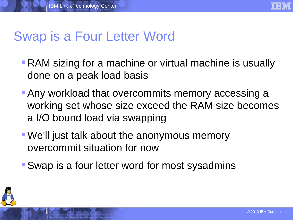

# Swap is a Four Letter Word

- **RAM** sizing for a machine or virtual machine is usually done on a peak load basis
- **Any workload that overcommits memory accessing a** working set whose size exceed the RAM size becomes a I/O bound load via swapping
- We'll just talk about the anonymous memory overcommit situation for now
- **Swap is a four letter word for most sysadmins**

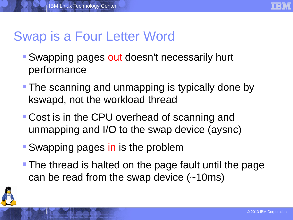

# Swap is a Four Letter Word

- Swapping pages out doesn't necessarily hurt performance
- **The scanning and unmapping is typically done by** kswapd, not the workload thread
- **Cost is in the CPU overhead of scanning and** unmapping and I/O to the swap device (aysnc)
- Swapping pages in is the problem
- **The thread is halted on the page fault until the page** can be read from the swap device (~10ms)

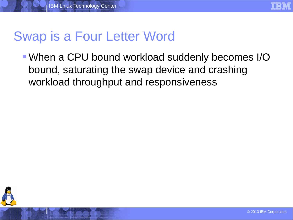

# Swap is a Four Letter Word

When a CPU bound workload suddenly becomes I/O bound, saturating the swap device and crashing workload throughput and responsiveness

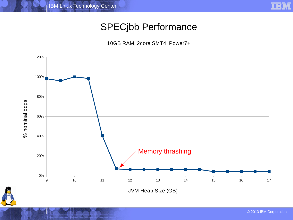

### SPECjbb Performance

10GB RAM, 2core SMT4, Power7+



© 2013 IBM Corporation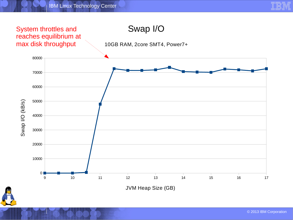



JVM Heap Size (GB)

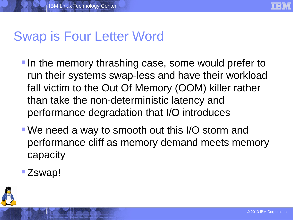

# Swap is Four Letter Word

- **If the memory thrashing case, some would prefer to** run their systems swap-less and have their workload fall victim to the Out Of Memory (OOM) killer rather than take the non-deterministic latency and performance degradation that I/O introduces
- We need a way to smooth out this I/O storm and performance cliff as memory demand meets memory capacity
- **E** Zswap!

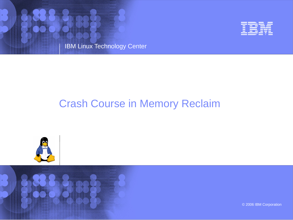



### Crash Course in Memory Reclaim



© 2006 IBM Corporation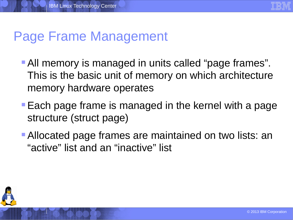

### Page Frame Management

- **All memory is managed in units called "page frames".** This is the basic unit of memory on which architecture memory hardware operates
- **Each page frame is managed in the kernel with a page** structure (struct page)
- **Allocated page frames are maintained on two lists: an** "active" list and an "inactive" list

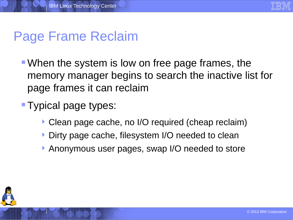

### Page Frame Reclaim

- When the system is low on free page frames, the memory manager begins to search the inactive list for page frames it can reclaim
- **Typical page types:** 
	- Clean page cache, no I/O required (cheap reclaim)
	- Dirty page cache, filesystem I/O needed to clean
	- Anonymous user pages, swap I/O needed to store

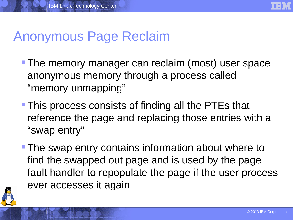

### Anonymous Page Reclaim

- **The memory manager can reclaim (most) user space** anonymous memory through a process called "memory unmapping"
- **This process consists of finding all the PTEs that** reference the page and replacing those entries with a "swap entry"
- **The swap entry contains information about where to** find the swapped out page and is used by the page fault handler to repopulate the page if the user process ever accesses it again

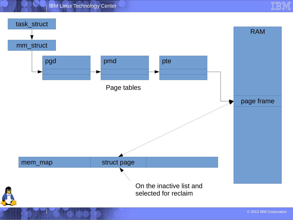IBM Linux Technology Center



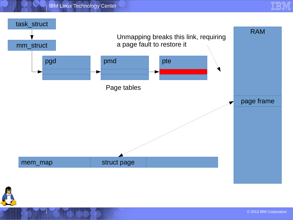





© 2013 IBM Corporation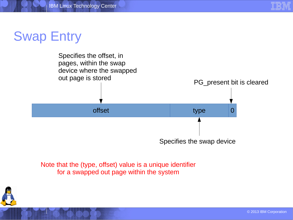

### Swap Entry



Note that the (type, offset) value is a unique identifier for a swapped out page within the system

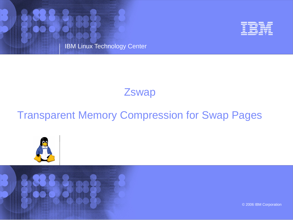IBM Linux Technology Center



### **Zswap**

### Transparent Memory Compression for Swap Pages





© 2006 IBM Corporation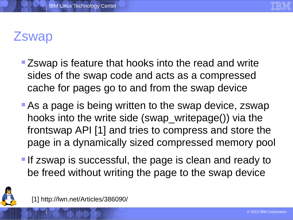

## **Zswap**

- **Example 25 The Septem Example 25 The Fead and write** sides of the swap code and acts as a compressed cache for pages go to and from the swap device
- **As a page is being written to the swap device, zswap** hooks into the write side (swap\_writepage()) via the frontswap API [1] and tries to compress and store the page in a dynamically sized compressed memory pool
- **If zswap is successful, the page is clean and ready to** be freed without writing the page to the swap device



[1] http://lwn.net/Articles/386090/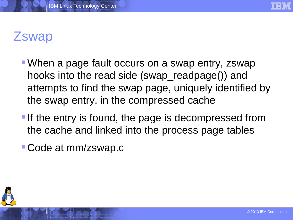

### **Zswap**

- When a page fault occurs on a swap entry, zswap hooks into the read side (swap\_readpage()) and attempts to find the swap page, uniquely identified by the swap entry, in the compressed cache
- **If the entry is found, the page is decompressed from** the cache and linked into the process page tables
- Code at mm/zswap.c

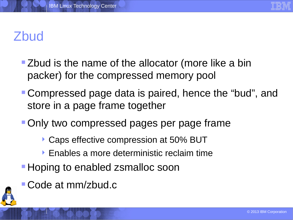

# Zbud

- **Example 2 F** Zbud is the name of the allocator (more like a bin packer) for the compressed memory pool
- Compressed page data is paired, hence the "bud", and store in a page frame together
- **Only two compressed pages per page frame** 
	- ▶ Caps effective compression at 50% BUT
	- **Enables a more deterministic reclaim time**
- **Hoping to enabled zsmalloc soon**
- Code at mm/zbud.c

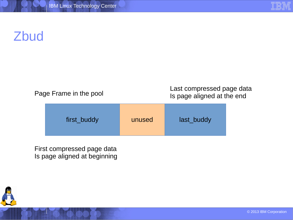# Zbud

| Page Frame in the pool |  |  |  |
|------------------------|--|--|--|
|------------------------|--|--|--|

Last compressed page data Is page aligned at the end

| first_buddy | unused | last buddy |
|-------------|--------|------------|
|-------------|--------|------------|

First compressed page data Is page aligned at beginning

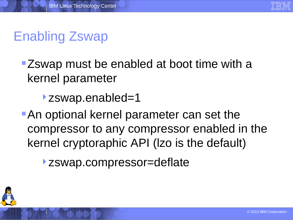

# Enabling Zswap

- **EXECT** 25 EXP MUST be enabled at boot time with a kernel parameter
	- **>zswap.enabled=1**
- **An optional kernel parameter can set the** compressor to any compressor enabled in the kernel cryptoraphic API (lzo is the default)
	- zswap.compressor=deflate

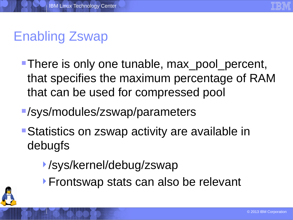

# Enabling Zswap

- There is only one tunable, max pool percent, that specifies the maximum percentage of RAM that can be used for compressed pool
- /sys/modules/zswap/parameters
- Statistics on zswap activity are available in debugfs
	- /sys/kernel/debug/zswap
	- **Frontswap stats can also be relevant**

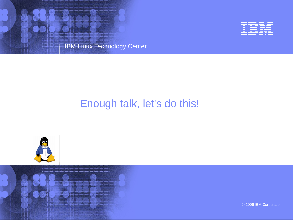



### Enough talk, let's do this!



© 2006 IBM Corporation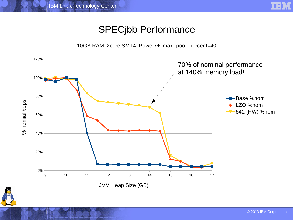

#### SPECjbb Performance

10GB RAM, 2core SMT4, Power7+, max\_pool\_percent=40

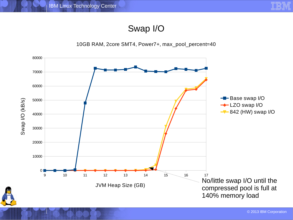

#### Swap I/O



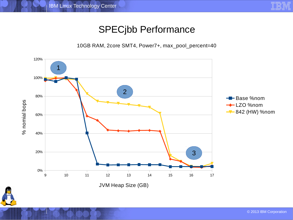

### SPECjbb Performance

10GB RAM, 2core SMT4, Power7+, max\_pool\_percent=40



JVM Heap Size (GB)

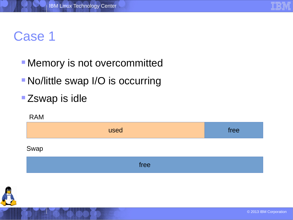### Case 1

- **Memory is not overcommitted**
- No/little swap I/O is occurring
- **Zswap is idle**

# used and the contract of the contract of the contract of the contract of the contract of the contract of the contract of the contract of the contract of the contract of the contract of the contract of the contract of the c RAM Swap free

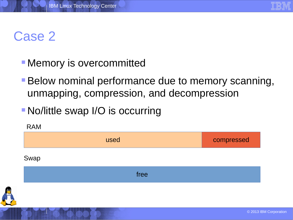

### Case 2

- **Memory is overcommitted**
- **Below nominal performance due to memory scanning,** unmapping, compression, and decompression
- **No/little swap I/O is occurring**

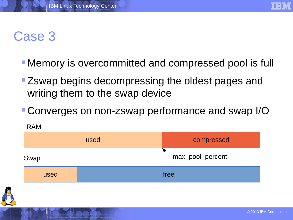

### Case 3

- **Memory is overcommitted and compressed pool is full**
- **EXECT** 25 External Degins decompressing the oldest pages and writing them to the swap device
- Converges on non-zswap performance and swap I/O

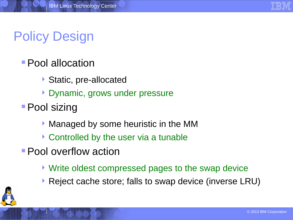

# Policy Design

### **Pool allocation**

- ▶ Static, pre-allocated
- Dynamic, grows under pressure
- **Pool sizing** 
	- Managed by some heuristic in the MM
	- ▶ Controlled by the user via a tunable
- **Pool overflow action** 
	- ▶ Write oldest compressed pages to the swap device
	- ▶ Reject cache store; falls to swap device (inverse LRU)

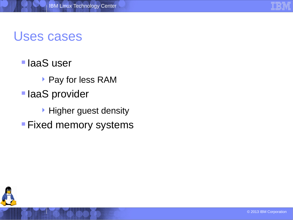### Uses cases

### **IaaS** user

- ▶ Pay for less RAM
- **IaaS** provider
	- **Higher guest density**
- **Fixed memory systems**

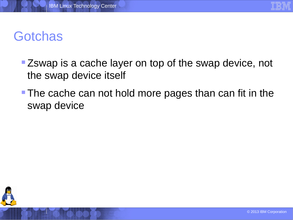

## **Gotchas**

- **EXECT** Zswap is a cache layer on top of the swap device, not the swap device itself
- **The cache can not hold more pages than can fit in the** swap device

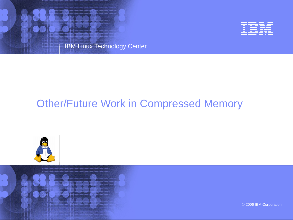



### Other/Future Work in Compressed Memory





© 2006 IBM Corporation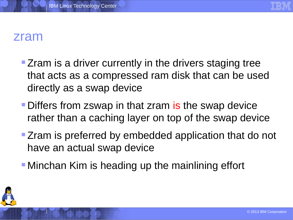

### zram

- **Exam is a driver currently in the drivers staging tree** that acts as a compressed ram disk that can be used directly as a swap device
- **Differs from zswap in that zram is the swap device** rather than a caching layer on top of the swap device
- **Exam is preferred by embedded application that do not** have an actual swap device
- **Minchan Kim is heading up the mainlining effort**

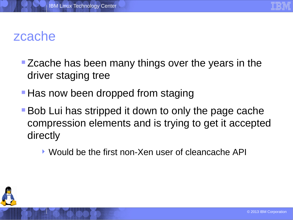

### zcache

- **Exache has been many things over the years in the** driver staging tree
- **Has now been dropped from staging**
- **Bob Lui has stripped it down to only the page cache** compression elements and is trying to get it accepted directly
	- Would be the first non-Xen user of cleancache API

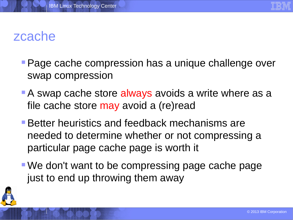

### zcache

- **Page cache compression has a unique challenge over** swap compression
- A swap cache store always avoids a write where as a file cache store may avoid a (re)read
- **Better heuristics and feedback mechanisms are** needed to determine whether or not compressing a particular page cache page is worth it
- We don't want to be compressing page cache page just to end up throwing them away

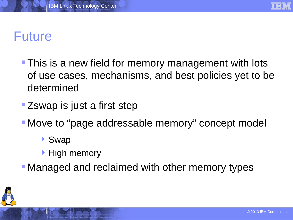

### Future

- **This is a new field for memory management with lots** of use cases, mechanisms, and best policies yet to be determined
- **Example 12** Example 1 Step **EXAMP**
- Move to "page addressable memory" concept model
	- ▶ Swap
	- $\blacktriangleright$  High memory
- **Managed and reclaimed with other memory types**

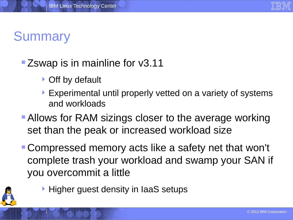

# **Summary**

### **EXECT** Zswap is in mainline for v3.11

- ▶ Off by default
- Experimental until properly vetted on a variety of systems and workloads
- **Allows for RAM sizings closer to the average working** set than the peak or increased workload size
- Compressed memory acts like a safety net that won't complete trash your workload and swamp your SAN if you overcommit a little



**Higher guest density in IaaS setups**